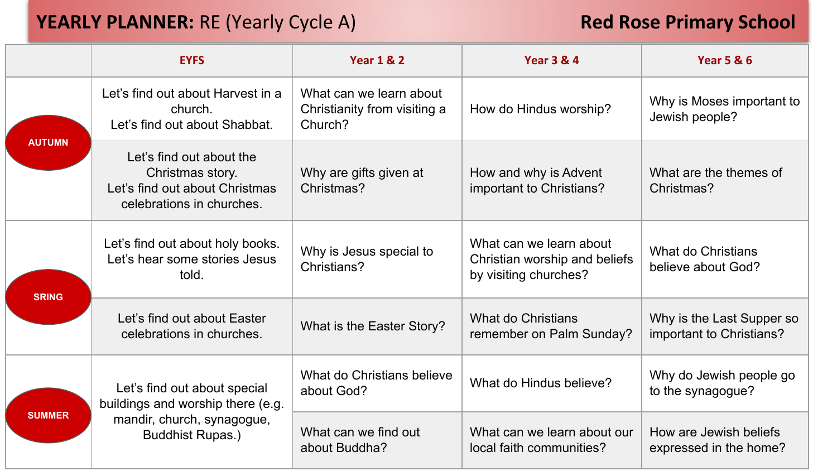## **YEARLY PLANNER:** RE (Yearly Cycle A) **Red Rose Primary School**

|               | <b>EYFS</b>                                                                                                                | <b>Year 1 &amp; 2</b>                                              | <b>Year 3 &amp; 4</b>                                                             | <b>Year 5 &amp; 6</b>                                 |
|---------------|----------------------------------------------------------------------------------------------------------------------------|--------------------------------------------------------------------|-----------------------------------------------------------------------------------|-------------------------------------------------------|
| <b>AUTUMN</b> | Let's find out about Harvest in a<br>church.<br>Let's find out about Shabbat.                                              | What can we learn about<br>Christianity from visiting a<br>Church? | How do Hindus worship?                                                            | Why is Moses important to<br>Jewish people?           |
|               | Let's find out about the<br>Christmas story.<br>Let's find out about Christmas<br>celebrations in churches.                | Why are gifts given at<br>Christmas?                               | How and why is Advent<br>important to Christians?                                 | What are the themes of<br>Christmas?                  |
| <b>SRING</b>  | Let's find out about holy books.<br>Let's hear some stories Jesus<br>told.                                                 | Why is Jesus special to<br>Christians?                             | What can we learn about<br>Christian worship and beliefs<br>by visiting churches? | What do Christians<br>believe about God?              |
|               | Let's find out about Easter<br>celebrations in churches.                                                                   | What is the Easter Story?                                          | What do Christians<br>remember on Palm Sunday?                                    | Why is the Last Supper so<br>important to Christians? |
| <b>SUMMER</b> | Let's find out about special<br>buildings and worship there (e.g.<br>mandir, church, synagogue,<br><b>Buddhist Rupas.)</b> | What do Christians believe<br>about God?                           | What do Hindus believe?                                                           | Why do Jewish people go<br>to the synagogue?          |
|               |                                                                                                                            | What can we find out<br>about Buddha?                              | What can we learn about our<br>local faith communities?                           | How are Jewish beliefs<br>expressed in the home?      |